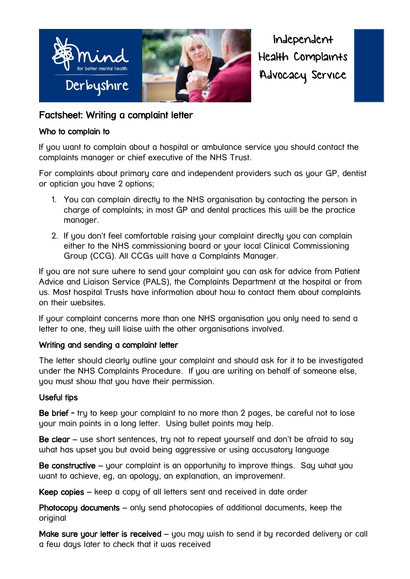

Independent Health Complaints Advocacy Service

## Factsheet: Writing a complaint letter

#### Who to complain to

If you want to complain about a hospital or ambulance service you should contact the complaints manager or chief executive of the NHS Trust.

For complaints about primary care and independent providers such as your GP, dentist or optician you have 2 options;

- 1. You can complain directly to the NHS organisation by contacting the person in charge of complaints; in most GP and dental practices this will be the practice manager.
- 2. If you don't feel comfortable raising your complaint directly you can complain either to the NHS commissioning board or your local Clinical Commissioning Group (CCG). All CCGs will have a Complaints Manager.

If you are not sure where to send your complaint you can ask for advice from Patient Advice and Liaison Service (PALS), the Complaints Department at the hospital or from us. Most hospital Trusts have information about how to contact them about complaints on their websites.

If your complaint concerns more than one NHS organisation you only need to send a letter to one, they will liaise with the other organisations involved.

### Writing and sending a complaint letter

The letter should clearly outline your complaint and should ask for it to be investigated under the NHS Complaints Procedure. If you are writing on behalf of someone else, you must show that you have their permission.

### Useful tips

Be brief - try to keep your complaint to no more than 2 pages, be careful not to lose your main points in a long letter. Using bullet points may help.

Be clear – use short sentences, try not to repeat yourself and don't be afraid to say what has upset you but avoid being aggressive or using accusatory language

Be constructive – your complaint is an opportunity to improve things. Say what you want to achieve, eg, an apology, an explanation, an improvement.

Keep copies – keep a copy of all letters sent and received in date order

Photocopy documents – only send photocopies of additional documents, keep the original

Make sure your letter is received - you may wish to send it by recorded delivery or call a few days later to check that it was received